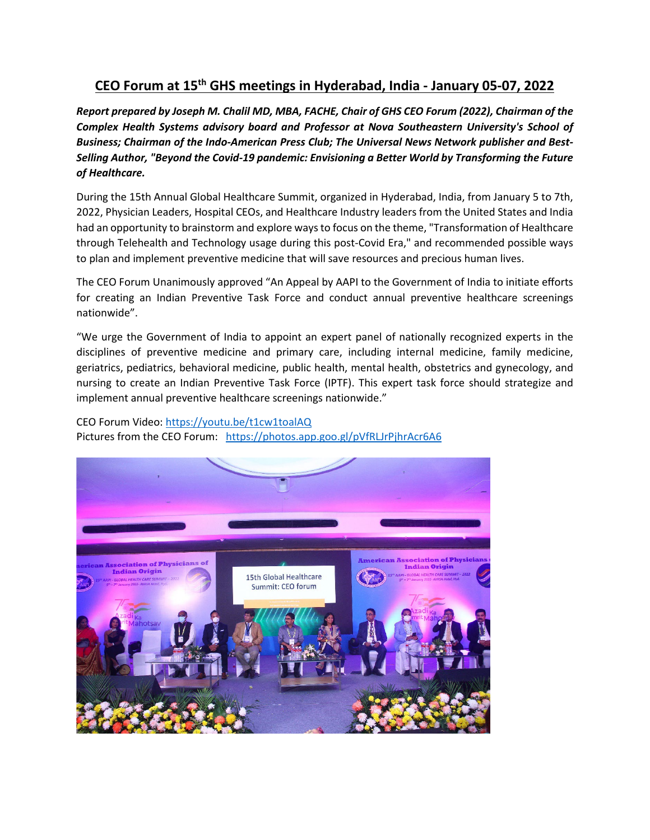## **CEO Forum at 15th GHS meetings in Hyderabad, India - January 05-07, 2022**

*Report prepared by Joseph M. Chalil MD, MBA, FACHE, Chair of GHS CEO Forum (2022), Chairman of the Complex Health Systems advisory board and Professor at Nova Southeastern University's School of*  Business; Chairman of the Indo-American Press Club; The Universal News Network publisher and Best-*Selling Author, "Beyond the Covid-19 pandemic: Envisioning a Better World by Transforming the Future of Healthcare.* 

During the 15th Annual Global Healthcare Summit, organized in Hyderabad, India, from January 5 to 7th, 2022, Physician Leaders, Hospital CEOs, and Healthcare Industry leaders from the United States and India had an opportunity to brainstorm and explore ways to focus on the theme, "Transformation of Healthcare through Telehealth and Technology usage during this post-Covid Era," and recommended possible ways to plan and implement preventive medicine that will save resources and precious human lives.

The CEO Forum Unanimously approved "An Appeal by AAPI to the Government of India to initiate efforts for creating an Indian Preventive Task Force and conduct annual preventive healthcare screenings nationwide".

"We urge the Government of India to appoint an expert panel of nationally recognized experts in the disciplines of preventive medicine and primary care, including internal medicine, family medicine, geriatrics, pediatrics, behavioral medicine, public health, mental health, obstetrics and gynecology, and nursing to create an Indian Preventive Task Force (IPTF). This expert task force should strategize and implement annual preventive healthcare screenings nationwide."

## CEO Forum Video:<https://youtu.be/t1cw1toalAQ> Pictures from the CEO Forum: <https://photos.app.goo.gl/pVfRLJrPjhrAcr6A6>